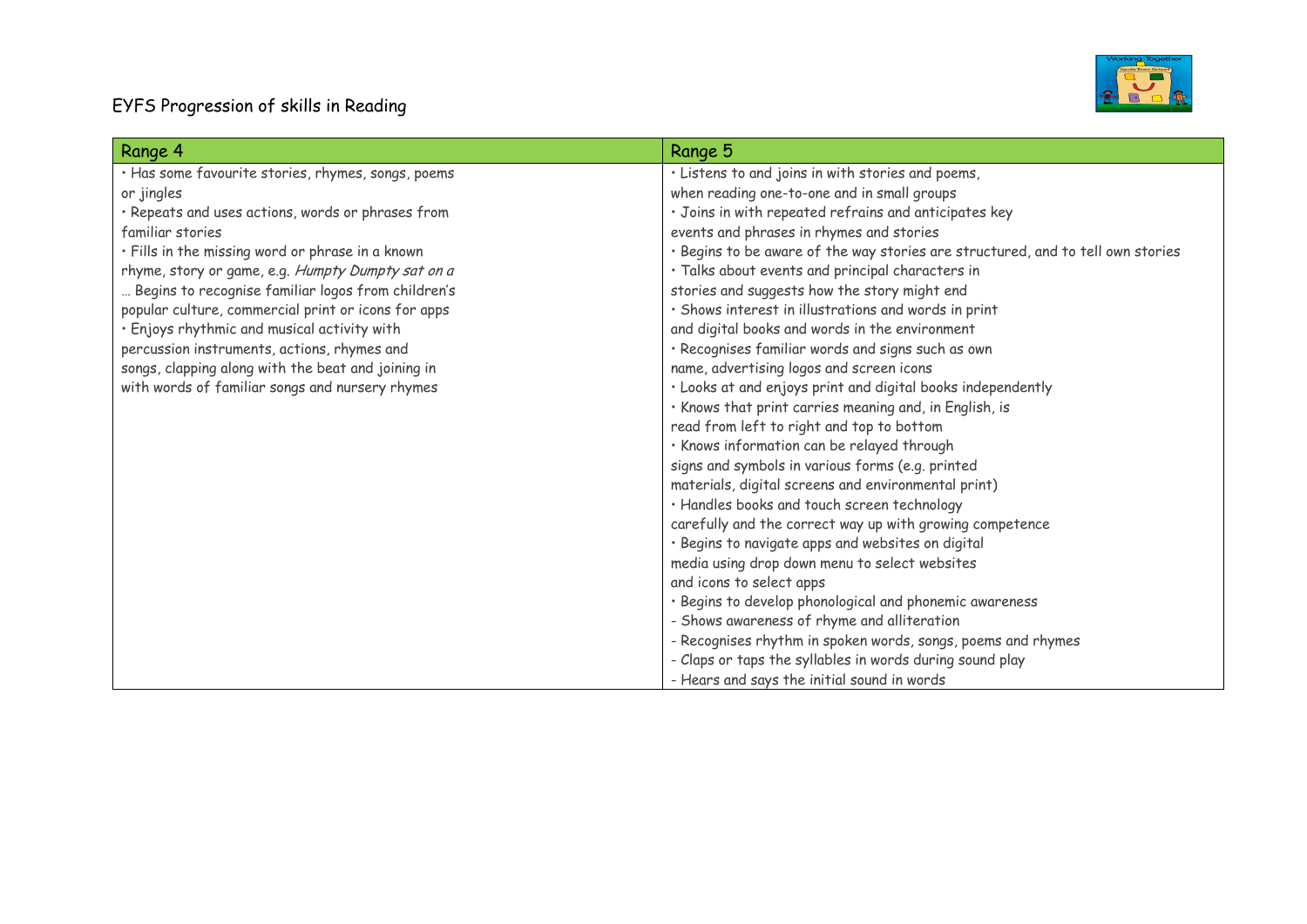## EYFS Progression of skills in Reading



| Range 4                                             | Range 5                                                                         |
|-----------------------------------------------------|---------------------------------------------------------------------------------|
| · Has some favourite stories, rhymes, songs, poems  | · Listens to and joins in with stories and poems,                               |
| or jingles                                          | when reading one-to-one and in small groups                                     |
| · Repeats and uses actions, words or phrases from   | · Joins in with repeated refrains and anticipates key                           |
| familiar stories                                    | events and phrases in rhymes and stories                                        |
| · Fills in the missing word or phrase in a known    | · Begins to be aware of the way stories are structured, and to tell own stories |
| rhyme, story or game, e.g. Humpty Dumpty sat on a   | · Talks about events and principal characters in                                |
| Begins to recognise familiar logos from children's  | stories and suggests how the story might end                                    |
| popular culture, commercial print or icons for apps | · Shows interest in illustrations and words in print                            |
| · Enjoys rhythmic and musical activity with         | and digital books and words in the environment                                  |
| percussion instruments, actions, rhymes and         | · Recognises familiar words and signs such as own                               |
| songs, clapping along with the beat and joining in  | name, advertising logos and screen icons                                        |
| with words of familiar songs and nursery rhymes     | · Looks at and enjoys print and digital books independently                     |
|                                                     | . Knows that print carries meaning and, in English, is                          |
|                                                     | read from left to right and top to bottom                                       |
|                                                     | · Knows information can be relayed through                                      |
|                                                     | signs and symbols in various forms (e.g. printed                                |
|                                                     | materials, digital screens and environmental print)                             |
|                                                     | · Handles books and touch screen technology                                     |
|                                                     | carefully and the correct way up with growing competence                        |
|                                                     | · Begins to navigate apps and websites on digital                               |
|                                                     | media using drop down menu to select websites                                   |
|                                                     | and icons to select apps                                                        |
|                                                     | · Begins to develop phonological and phonemic awareness                         |
|                                                     | - Shows awareness of rhyme and alliteration                                     |
|                                                     | - Recognises rhythm in spoken words, songs, poems and rhymes                    |
|                                                     | - Claps or taps the syllables in words during sound play                        |
|                                                     | - Hears and says the initial sound in words                                     |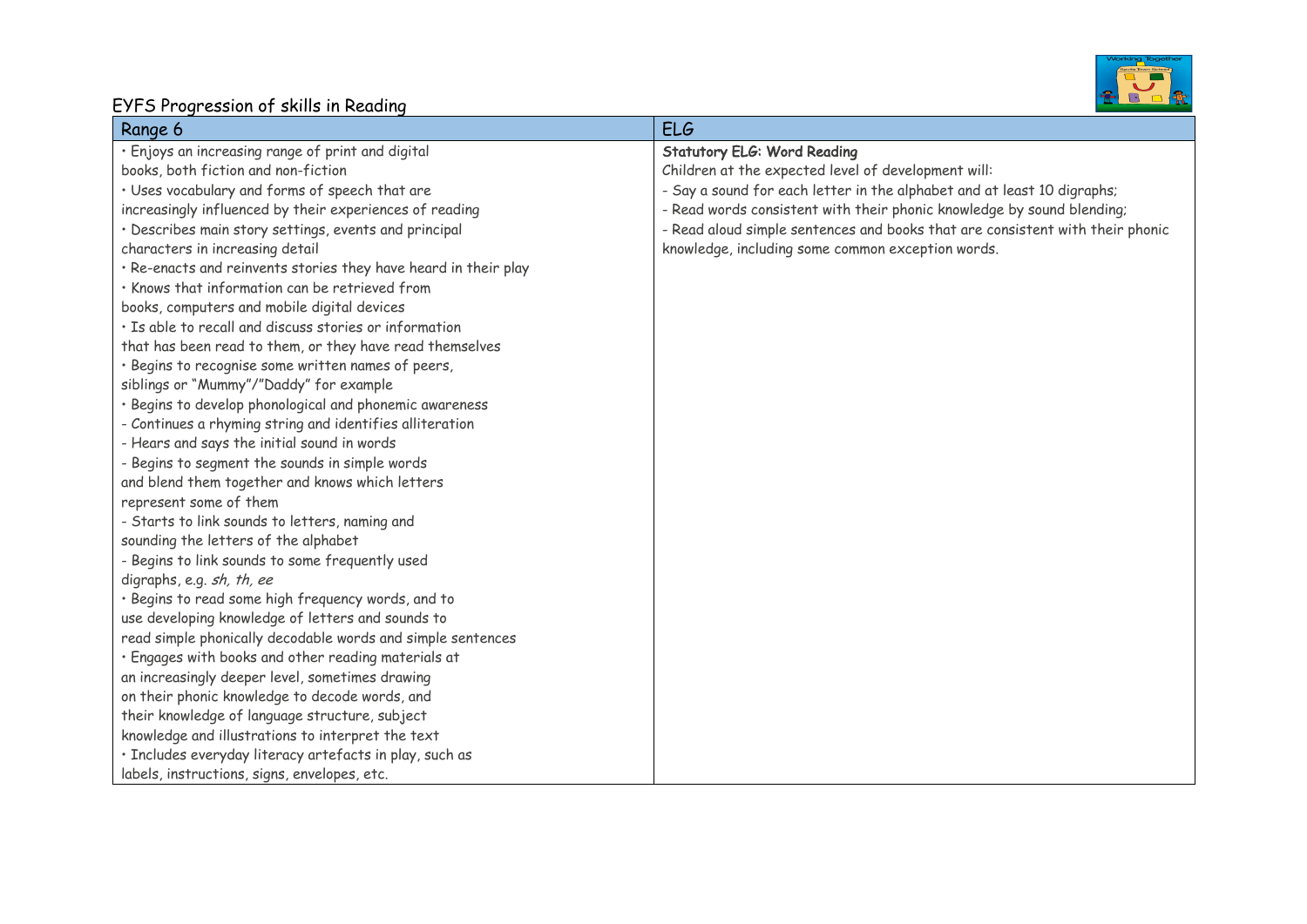## Working Together<br> **ELLER**<br>
BLOCK

## EYFS Progression of skills in Reading

| Range 6                                                         | <b>ELG</b>                                                                    |
|-----------------------------------------------------------------|-------------------------------------------------------------------------------|
| · Enjoys an increasing range of print and digital               | <b>Statutory ELG: Word Reading</b>                                            |
| books, both fiction and non-fiction                             | Children at the expected level of development will:                           |
| · Uses vocabulary and forms of speech that are                  | - Say a sound for each letter in the alphabet and at least 10 digraphs;       |
| increasingly influenced by their experiences of reading         | - Read words consistent with their phonic knowledge by sound blending;        |
| · Describes main story settings, events and principal           | - Read aloud simple sentences and books that are consistent with their phonic |
| characters in increasing detail                                 | knowledge, including some common exception words.                             |
| · Re-enacts and reinvents stories they have heard in their play |                                                                               |
| · Knows that information can be retrieved from                  |                                                                               |
| books, computers and mobile digital devices                     |                                                                               |
| · Is able to recall and discuss stories or information          |                                                                               |
| that has been read to them, or they have read themselves        |                                                                               |
| · Begins to recognise some written names of peers,              |                                                                               |
| siblings or "Mummy"/"Daddy" for example                         |                                                                               |
| · Begins to develop phonological and phonemic awareness         |                                                                               |
| - Continues a rhyming string and identifies alliteration        |                                                                               |
| - Hears and says the initial sound in words                     |                                                                               |
| - Begins to segment the sounds in simple words                  |                                                                               |
| and blend them together and knows which letters                 |                                                                               |
| represent some of them                                          |                                                                               |
| - Starts to link sounds to letters, naming and                  |                                                                               |
| sounding the letters of the alphabet                            |                                                                               |
| - Begins to link sounds to some frequently used                 |                                                                               |
| digraphs, e.g. sh, th, ee                                       |                                                                               |
| · Begins to read some high frequency words, and to              |                                                                               |
| use developing knowledge of letters and sounds to               |                                                                               |
| read simple phonically decodable words and simple sentences     |                                                                               |
| · Engages with books and other reading materials at             |                                                                               |
| an increasingly deeper level, sometimes drawing                 |                                                                               |
| on their phonic knowledge to decode words, and                  |                                                                               |
| their knowledge of language structure, subject                  |                                                                               |
| knowledge and illustrations to interpret the text               |                                                                               |
| · Includes everyday literacy artefacts in play, such as         |                                                                               |
| labels, instructions, signs, envelopes, etc.                    |                                                                               |